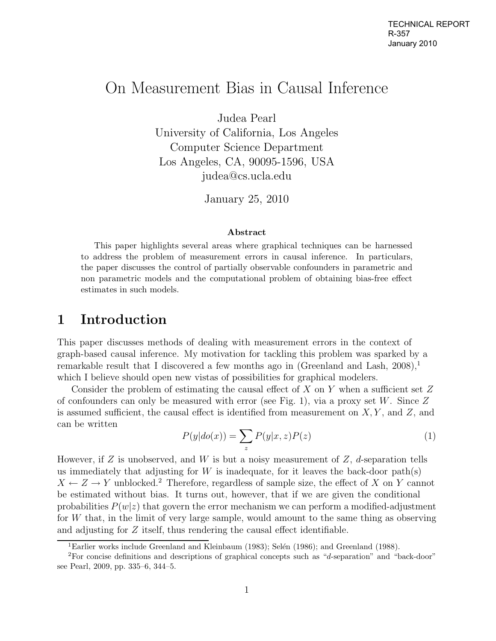# On Measurement Bias in Causal Inference

Judea Pearl

University of California, Los Angeles Computer Science Department Los Angeles, CA, 90095-1596, USA judea@cs.ucla.edu

January 25, 2010

#### **Abstract**

This paper highlights several areas where graphical techniques can be harnessed to address the problem of measurement errors in causal inference. In particulars, the paper discusses the control of partially observable confounders in parametric and non parametric models and the computational problem of obtaining bias-free effect estimates in such models.

### **1 Introduction**

This paper discusses methods of dealing with measurement errors in the context of graph-based causal inference. My motivation for tackling this problem was sparked by a remarkable result that I discovered a few months ago in (Greenland and Lash,  $2008$ ),<sup>1</sup> which I believe should open new vistas of possibilities for graphical modelers.

Consider the problem of estimating the causal effect of  $X$  on  $Y$  when a sufficient set  $Z$ of confounders can only be measured with error (see Fig. 1), via a proxy set W. Since  $Z$ is assumed sufficient, the causal effect is identified from measurement on  $X, Y$ , and  $Z$ , and can be written

$$
P(y|do(x)) = \sum_{z} P(y|x, z)P(z)
$$
 (1)

However, if Z is unobserved, and W is but a noisy measurement of  $Z$ , d-separation tells us immediately that adjusting for  $W$  is inadequate, for it leaves the back-door path(s)  $X \leftarrow Z \rightarrow Y$  unblocked.<sup>2</sup> Therefore, regardless of sample size, the effect of X on Y cannot be estimated without bias. It turns out, however, that if we are given the conditional probabilities  $P(w|z)$  that govern the error mechanism we can perform a modified-adjustment for W that, in the limit of very large sample, would amount to the same thing as observing and adjusting for Z itself, thus rendering the causal effect identifiable.

<sup>&</sup>lt;sup>1</sup>Earlier works include Greenland and Kleinbaum (1983); Selén (1986); and Greenland (1988).

<sup>2</sup>For concise definitions and descriptions of graphical concepts such as "d-separation" and "back-door" see Pearl, 2009, pp. 335–6, 344–5.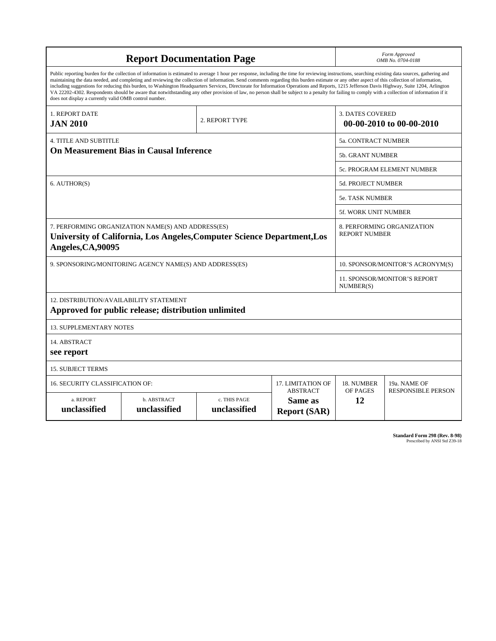| <b>Report Documentation Page</b>                                                                                                                                                                                                                                                                                                                                                                                                                                                                                                                                                                                                                                                                                                                                                                                                                                   |                             |                              |                                                   | Form Approved<br>OMB No. 0704-0188                  |                           |
|--------------------------------------------------------------------------------------------------------------------------------------------------------------------------------------------------------------------------------------------------------------------------------------------------------------------------------------------------------------------------------------------------------------------------------------------------------------------------------------------------------------------------------------------------------------------------------------------------------------------------------------------------------------------------------------------------------------------------------------------------------------------------------------------------------------------------------------------------------------------|-----------------------------|------------------------------|---------------------------------------------------|-----------------------------------------------------|---------------------------|
| Public reporting burden for the collection of information is estimated to average 1 hour per response, including the time for reviewing instructions, searching existing data sources, gathering and<br>maintaining the data needed, and completing and reviewing the collection of information. Send comments regarding this burden estimate or any other aspect of this collection of information,<br>including suggestions for reducing this burden, to Washington Headquarters Services, Directorate for Information Operations and Reports, 1215 Jefferson Davis Highway, Suite 1204, Arlington<br>VA 22202-4302. Respondents should be aware that notwithstanding any other provision of law, no person shall be subject to a penalty for failing to comply with a collection of information if it<br>does not display a currently valid OMB control number. |                             |                              |                                                   |                                                     |                           |
| 1. REPORT DATE<br><b>JAN 2010</b>                                                                                                                                                                                                                                                                                                                                                                                                                                                                                                                                                                                                                                                                                                                                                                                                                                  | 2. REPORT TYPE              |                              |                                                   | <b>3. DATES COVERED</b><br>00-00-2010 to 00-00-2010 |                           |
| <b>4. TITLE AND SUBTITLE</b>                                                                                                                                                                                                                                                                                                                                                                                                                                                                                                                                                                                                                                                                                                                                                                                                                                       |                             |                              |                                                   | 5a. CONTRACT NUMBER                                 |                           |
| <b>On Measurement Bias in Causal Inference</b>                                                                                                                                                                                                                                                                                                                                                                                                                                                                                                                                                                                                                                                                                                                                                                                                                     |                             |                              |                                                   | 5b. GRANT NUMBER                                    |                           |
|                                                                                                                                                                                                                                                                                                                                                                                                                                                                                                                                                                                                                                                                                                                                                                                                                                                                    |                             |                              |                                                   | 5c. PROGRAM ELEMENT NUMBER                          |                           |
| 6. AUTHOR(S)                                                                                                                                                                                                                                                                                                                                                                                                                                                                                                                                                                                                                                                                                                                                                                                                                                                       |                             |                              |                                                   | 5d. PROJECT NUMBER                                  |                           |
|                                                                                                                                                                                                                                                                                                                                                                                                                                                                                                                                                                                                                                                                                                                                                                                                                                                                    |                             |                              |                                                   | <b>5e. TASK NUMBER</b>                              |                           |
|                                                                                                                                                                                                                                                                                                                                                                                                                                                                                                                                                                                                                                                                                                                                                                                                                                                                    |                             |                              |                                                   | <b>5f. WORK UNIT NUMBER</b>                         |                           |
| 7. PERFORMING ORGANIZATION NAME(S) AND ADDRESS(ES)<br>University of California, Los Angeles, Computer Science Department, Los<br>Angeles, CA, 90095                                                                                                                                                                                                                                                                                                                                                                                                                                                                                                                                                                                                                                                                                                                |                             |                              |                                                   | 8. PERFORMING ORGANIZATION<br><b>REPORT NUMBER</b>  |                           |
| 9. SPONSORING/MONITORING AGENCY NAME(S) AND ADDRESS(ES)                                                                                                                                                                                                                                                                                                                                                                                                                                                                                                                                                                                                                                                                                                                                                                                                            |                             |                              |                                                   | 10. SPONSOR/MONITOR'S ACRONYM(S)                    |                           |
|                                                                                                                                                                                                                                                                                                                                                                                                                                                                                                                                                                                                                                                                                                                                                                                                                                                                    |                             |                              |                                                   | <b>11. SPONSOR/MONITOR'S REPORT</b><br>NUMBER(S)    |                           |
| 12. DISTRIBUTION/AVAILABILITY STATEMENT<br>Approved for public release; distribution unlimited                                                                                                                                                                                                                                                                                                                                                                                                                                                                                                                                                                                                                                                                                                                                                                     |                             |                              |                                                   |                                                     |                           |
| <b>13. SUPPLEMENTARY NOTES</b>                                                                                                                                                                                                                                                                                                                                                                                                                                                                                                                                                                                                                                                                                                                                                                                                                                     |                             |                              |                                                   |                                                     |                           |
| 14. ABSTRACT<br>see report                                                                                                                                                                                                                                                                                                                                                                                                                                                                                                                                                                                                                                                                                                                                                                                                                                         |                             |                              |                                                   |                                                     |                           |
| <b>15. SUBJECT TERMS</b>                                                                                                                                                                                                                                                                                                                                                                                                                                                                                                                                                                                                                                                                                                                                                                                                                                           |                             |                              |                                                   |                                                     |                           |
| <b>16. SECURITY CLASSIFICATION OF:</b>                                                                                                                                                                                                                                                                                                                                                                                                                                                                                                                                                                                                                                                                                                                                                                                                                             | 17. LIMITATION OF           | 18. NUMBER                   | 19a. NAME OF                                      |                                                     |                           |
| a. REPORT<br>unclassified                                                                                                                                                                                                                                                                                                                                                                                                                                                                                                                                                                                                                                                                                                                                                                                                                                          | b. ABSTRACT<br>unclassified | c. THIS PAGE<br>unclassified | <b>ABSTRACT</b><br>Same as<br><b>Report (SAR)</b> | OF PAGES<br>12                                      | <b>RESPONSIBLE PERSON</b> |

**Standard Form 298 (Rev. 8-98)**<br>Prescribed by ANSI Std Z39-18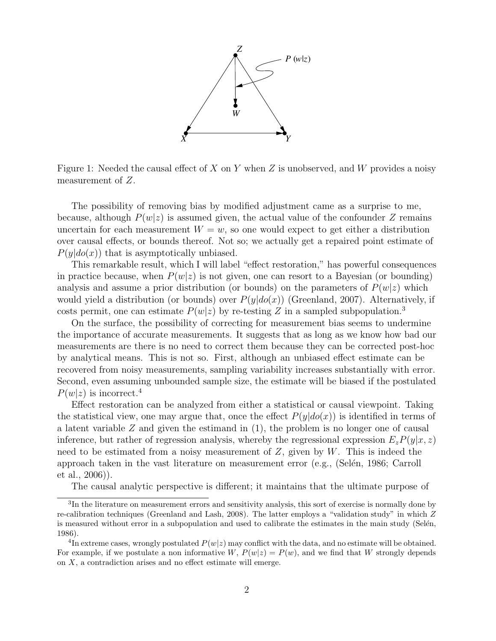

Figure 1: Needed the causal effect of X on Y when Z is unobserved, and W provides a noisy measurement of Z.

The possibility of removing bias by modified adjustment came as a surprise to me, because, although  $P(w|z)$  is assumed given, the actual value of the confounder Z remains uncertain for each measurement  $W = w$ , so one would expect to get either a distribution over causal effects, or bounds thereof. Not so; we actually get a repaired point estimate of  $P(y|do(x))$  that is asymptotically unbiased.

This remarkable result, which I will label "effect restoration," has powerful consequences in practice because, when  $P(w|z)$  is not given, one can resort to a Bayesian (or bounding) analysis and assume a prior distribution (or bounds) on the parameters of  $P(w|z)$  which would yield a distribution (or bounds) over  $P(y|do(x))$  (Greenland, 2007). Alternatively, if costs permit, one can estimate  $P(w|z)$  by re-testing Z in a sampled subpopulation.<sup>3</sup>

On the surface, the possibility of correcting for measurement bias seems to undermine the importance of accurate measurements. It suggests that as long as we know how bad our measurements are there is no need to correct them because they can be corrected post-hoc by analytical means. This is not so. First, although an unbiased effect estimate can be recovered from noisy measurements, sampling variability increases substantially with error. Second, even assuming unbounded sample size, the estimate will be biased if the postulated  $P(w|z)$  is incorrect.<sup>4</sup>

Effect restoration can be analyzed from either a statistical or causal viewpoint. Taking the statistical view, one may argue that, once the effect  $P(y|do(x))$  is identified in terms of a latent variable  $Z$  and given the estimand in  $(1)$ , the problem is no longer one of causal inference, but rather of regression analysis, whereby the regressional expression  $E_zP(y|x, z)$ need to be estimated from a noisy measurement of  $Z$ , given by  $W$ . This is indeed the approach taken in the vast literature on measurement error (e.g., (Selén, 1986; Carroll et al., 2006)).

The causal analytic perspective is different; it maintains that the ultimate purpose of

<sup>3</sup>In the literature on measurement errors and sensitivity analysis, this sort of exercise is normally done by re-calibration techniques (Greenland and Lash, 2008). The latter employs a "validation study" in which Z is measured without error in a subpopulation and used to calibrate the estimates in the main study (Selén, 1986).

<sup>&</sup>lt;sup>4</sup>In extreme cases, wrongly postulated  $P(w|z)$  may conflict with the data, and no estimate will be obtained. For example, if we postulate a non informative  $W, P(w|z) = P(w)$ , and we find that W strongly depends on X, a contradiction arises and no effect estimate will emerge.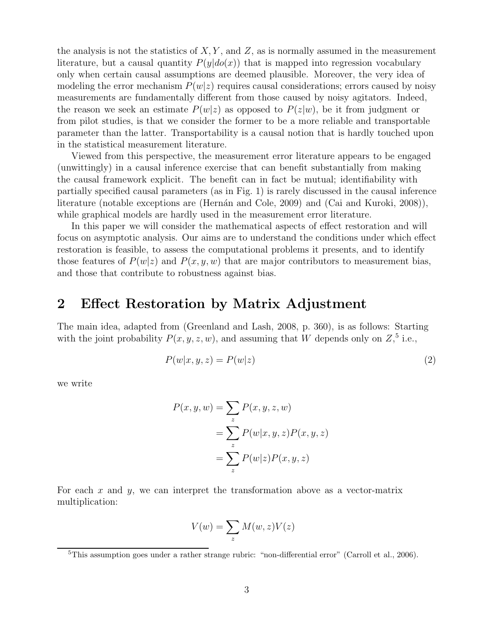the analysis is not the statistics of  $X, Y$ , and  $Z$ , as is normally assumed in the measurement literature, but a causal quantity  $P(y|do(x))$  that is mapped into regression vocabulary only when certain causal assumptions are deemed plausible. Moreover, the very idea of modeling the error mechanism  $P(w|z)$  requires causal considerations; errors caused by noisy measurements are fundamentally different from those caused by noisy agitators. Indeed, the reason we seek an estimate  $P(w|z)$  as opposed to  $P(z|w)$ , be it from judgment or from pilot studies, is that we consider the former to be a more reliable and transportable parameter than the latter. Transportability is a causal notion that is hardly touched upon in the statistical measurement literature.

Viewed from this perspective, the measurement error literature appears to be engaged (unwittingly) in a causal inference exercise that can benefit substantially from making the causal framework explicit. The benefit can in fact be mutual; identifiability with partially specified causal parameters (as in Fig. 1) is rarely discussed in the causal inference literature (notable exceptions are (Hernán and Cole, 2009) and (Cai and Kuroki, 2008)), while graphical models are hardly used in the measurement error literature.

In this paper we will consider the mathematical aspects of effect restoration and will focus on asymptotic analysis. Our aims are to understand the conditions under which effect restoration is feasible, to assess the computational problems it presents, and to identify those features of  $P(w|z)$  and  $P(x, y, w)$  that are major contributors to measurement bias, and those that contribute to robustness against bias.

#### **2 Effect Restoration by Matrix Adjustment**

The main idea, adapted from (Greenland and Lash, 2008, p. 360), is as follows: Starting with the joint probability  $P(x, y, z, w)$ , and assuming that W depends only on  $Z$ <sup>5</sup>, i.e.,

$$
P(w|x, y, z) = P(w|z)
$$
\n<sup>(2)</sup>

we write

$$
P(x, y, w) = \sum_{z} P(x, y, z, w)
$$
  
= 
$$
\sum_{z} P(w|x, y, z) P(x, y, z)
$$
  
= 
$$
\sum_{z} P(w|z) P(x, y, z)
$$

For each  $x$  and  $y$ , we can interpret the transformation above as a vector-matrix multiplication:

$$
V(w) = \sum_{z} M(w, z)V(z)
$$

<sup>&</sup>lt;sup>5</sup>This assumption goes under a rather strange rubric: "non-differential error" (Carroll et al., 2006).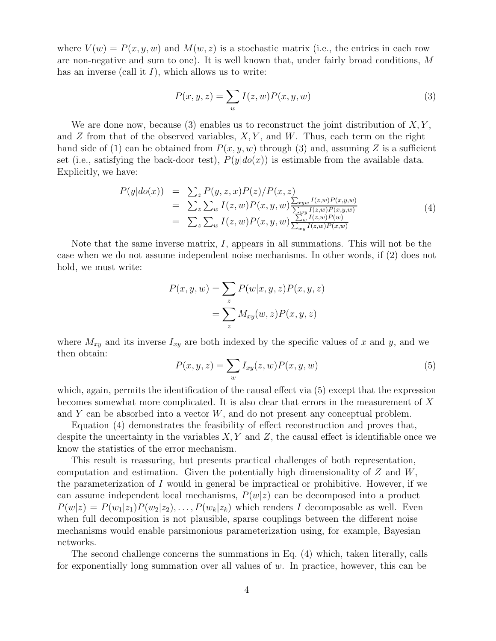where  $V(w) = P(x, y, w)$  and  $M(w, z)$  is a stochastic matrix (i.e., the entries in each row are non-negative and sum to one). It is well known that, under fairly broad conditions, M has an inverse (call it  $I$ ), which allows us to write:

$$
P(x, y, z) = \sum_{w} I(z, w) P(x, y, w)
$$
\n(3)

We are done now, because (3) enables us to reconstruct the joint distribution of  $X, Y$ , and  $Z$  from that of the observed variables,  $X, Y$ , and  $W$ . Thus, each term on the right hand side of (1) can be obtained from  $P(x, y, w)$  through (3) and, assuming Z is a sufficient set (i.e., satisfying the back-door test),  $P(y|do(x))$  is estimable from the available data. Explicitly, we have:

$$
P(y|do(x)) = \sum_{z} P(y, z, x) P(z) / P(x, z)
$$
  
= 
$$
\sum_{z} \sum_{w} I(z, w) P(x, y, w) \frac{\sum_{xyw} I(z, w) P(x, y, w)}{\sum_{wy} I(z, w) P(x, y, w)}
$$
  
= 
$$
\sum_{z} \sum_{w} I(z, w) P(x, y, w) \frac{\sum_{w} I(z, w) P(w)}{\sum_{w} I(z, w) P(x, w)}
$$
(4)

Note that the same inverse matrix,  $I$ , appears in all summations. This will not be the case when we do not assume independent noise mechanisms. In other words, if (2) does not hold, we must write:

$$
P(x, y, w) = \sum_{z} P(w|x, y, z) P(x, y, z)
$$

$$
= \sum_{z} M_{xy}(w, z) P(x, y, z)
$$

where  $M_{xy}$  and its inverse  $I_{xy}$  are both indexed by the specific values of x and y, and we then obtain:

$$
P(x, y, z) = \sum_{w} I_{xy}(z, w) P(x, y, w)
$$
\n<sup>(5)</sup>

which, again, permits the identification of the causal effect via (5) except that the expression becomes somewhat more complicated. It is also clear that errors in the measurement of X and  $Y$  can be absorbed into a vector  $W$ , and do not present any conceptual problem.

Equation (4) demonstrates the feasibility of effect reconstruction and proves that, despite the uncertainty in the variables  $X, Y$  and  $Z$ , the causal effect is identifiable once we know the statistics of the error mechanism.

This result is reassuring, but presents practical challenges of both representation, computation and estimation. Given the potentially high dimensionality of  $Z$  and  $W$ , the parameterization of I would in general be impractical or prohibitive. However, if we can assume independent local mechanisms,  $P(w|z)$  can be decomposed into a product  $P(w|z) = P(w_1|z_1)P(w_2|z_2), \ldots, P(w_k|z_k)$  which renders I decomposable as well. Even when full decomposition is not plausible, sparse couplings between the different noise mechanisms would enable parsimonious parameterization using, for example, Bayesian networks.

The second challenge concerns the summations in Eq. (4) which, taken literally, calls for exponentially long summation over all values of  $w$ . In practice, however, this can be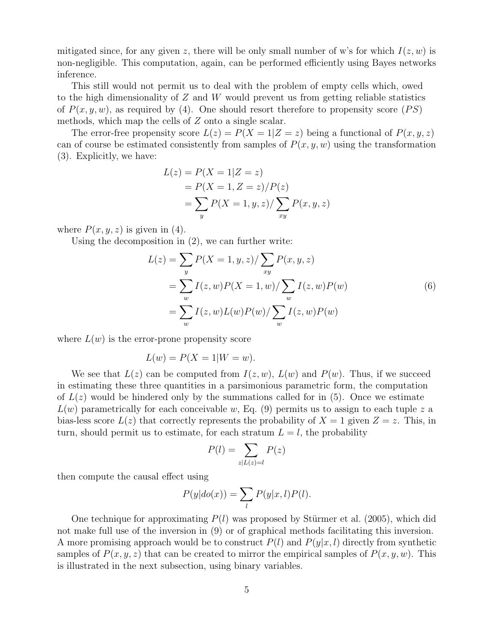mitigated since, for any given z, there will be only small number of w's for which  $I(z, w)$  is non-negligible. This computation, again, can be performed efficiently using Bayes networks inference.

This still would not permit us to deal with the problem of empty cells which, owed to the high dimensionality of  $Z$  and  $W$  would prevent us from getting reliable statistics of  $P(x, y, w)$ , as required by (4). One should resort therefore to propensity score (PS) methods, which map the cells of Z onto a single scalar.

The error-free propensity score  $L(z) = P(X = 1|Z = z)$  being a functional of  $P(x, y, z)$ can of course be estimated consistently from samples of  $P(x, y, w)$  using the transformation (3). Explicitly, we have:

$$
L(z) = P(X = 1|Z = z)
$$
  
=  $P(X = 1, Z = z)/P(z)$   
=  $\sum_{y} P(X = 1, y, z)/\sum_{xy} P(x, y, z)$ 

where  $P(x, y, z)$  is given in (4).

Using the decomposition in (2), we can further write:

$$
L(z) = \sum_{y} P(X = 1, y, z) / \sum_{xy} P(x, y, z)
$$
  
= 
$$
\sum_{w} I(z, w) P(X = 1, w) / \sum_{w} I(z, w) P(w)
$$
  
= 
$$
\sum_{w} I(z, w) L(w) P(w) / \sum_{w} I(z, w) P(w)
$$
 (6)

where  $L(w)$  is the error-prone propensity score

$$
L(w) = P(X = 1|W = w).
$$

We see that  $L(z)$  can be computed from  $I(z, w)$ ,  $L(w)$  and  $P(w)$ . Thus, if we succeed in estimating these three quantities in a parsimonious parametric form, the computation of  $L(z)$  would be hindered only by the summations called for in (5). Once we estimate  $L(w)$  parametrically for each conceivable w, Eq. (9) permits us to assign to each tuple z a bias-less score  $L(z)$  that correctly represents the probability of  $X = 1$  given  $Z = z$ . This, in turn, should permit us to estimate, for each stratum  $L = l$ , the probability

$$
P(l) = \sum_{z|L(z)=l} P(z)
$$

then compute the causal effect using

$$
P(y|do(x)) = \sum_{l} P(y|x, l)P(l).
$$

One technique for approximating  $P(l)$  was proposed by Stürmer et al. (2005), which did not make full use of the inversion in (9) or of graphical methods facilitating this inversion. A more promising approach would be to construct  $P(l)$  and  $P(y|x, l)$  directly from synthetic samples of  $P(x, y, z)$  that can be created to mirror the empirical samples of  $P(x, y, w)$ . This is illustrated in the next subsection, using binary variables.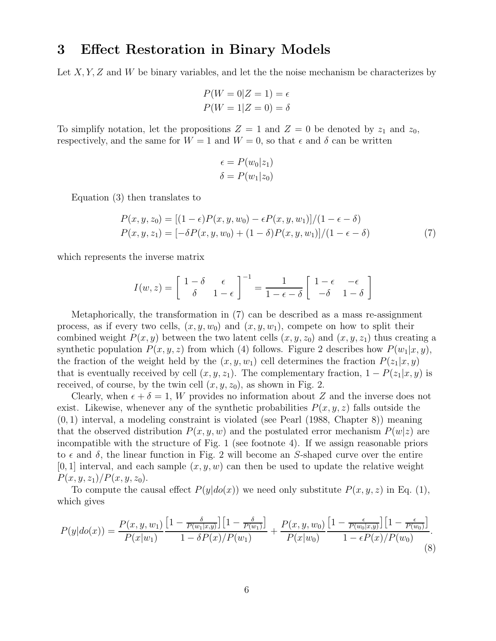### **3 Effect Restoration in Binary Models**

Let  $X, Y, Z$  and W be binary variables, and let the the noise mechanism be characterizes by

$$
P(W = 0|Z = 1) = \epsilon
$$
  

$$
P(W = 1|Z = 0) = \delta
$$

To simplify notation, let the propositions  $Z = 1$  and  $Z = 0$  be denoted by  $z_1$  and  $z_0$ , respectively, and the same for  $W = 1$  and  $W = 0$ , so that  $\epsilon$  and  $\delta$  can be written

$$
\epsilon = P(w_0|z_1)
$$
  

$$
\delta = P(w_1|z_0)
$$

Equation (3) then translates to

$$
P(x, y, z_0) = [(1 - \epsilon)P(x, y, w_0) - \epsilon P(x, y, w_1)]/(1 - \epsilon - \delta)
$$
  
\n
$$
P(x, y, z_1) = [-\delta P(x, y, w_0) + (1 - \delta)P(x, y, w_1)]/(1 - \epsilon - \delta)
$$
\n(7)

which represents the inverse matrix

$$
I(w, z) = \begin{bmatrix} 1 - \delta & \epsilon \\ \delta & 1 - \epsilon \end{bmatrix}^{-1} = \frac{1}{1 - \epsilon - \delta} \begin{bmatrix} 1 - \epsilon & -\epsilon \\ -\delta & 1 - \delta \end{bmatrix}
$$

Metaphorically, the transformation in (7) can be described as a mass re-assignment process, as if every two cells,  $(x, y, w_0)$  and  $(x, y, w_1)$ , compete on how to split their combined weight  $P(x, y)$  between the two latent cells  $(x, y, z_0)$  and  $(x, y, z_1)$  thus creating a synthetic population  $P(x, y, z)$  from which (4) follows. Figure 2 describes how  $P(w_1|x, y)$ , the fraction of the weight held by the  $(x, y, w_1)$  cell determines the fraction  $P(z_1|x, y)$ that is eventually received by cell  $(x, y, z_1)$ . The complementary fraction,  $1 - P(z_1|x, y)$  is received, of course, by the twin cell  $(x, y, z_0)$ , as shown in Fig. 2.

Clearly, when  $\epsilon + \delta = 1$ , W provides no information about Z and the inverse does not exist. Likewise, whenever any of the synthetic probabilities  $P(x, y, z)$  falls outside the  $(0, 1)$  interval, a modeling constraint is violated (see Pearl  $(1988, Chapter 8)$ ) meaning that the observed distribution  $P(x, y, w)$  and the postulated error mechanism  $P(w|z)$  are incompatible with the structure of Fig. 1 (see footnote 4). If we assign reasonable priors to  $\epsilon$  and  $\delta$ , the linear function in Fig. 2 will become an S-shaped curve over the entire  $[0, 1]$  interval, and each sample  $(x, y, w)$  can then be used to update the relative weight  $P(x, y, z_1)/P(x, y, z_0).$ 

To compute the causal effect  $P(y|do(x))$  we need only substitute  $P(x, y, z)$  in Eq. (1), which gives

$$
P(y|do(x)) = \frac{P(x, y, w_1)}{P(x|w_1)} \frac{\left[1 - \frac{\delta}{P(w_1|x,y)}\right] \left[1 - \frac{\delta}{P(w_1)}\right]}{1 - \delta P(x)/P(w_1)} + \frac{P(x, y, w_0)}{P(x|w_0)} \frac{\left[1 - \frac{\epsilon}{P(w_0|x,y)}\right] \left[1 - \frac{\epsilon}{P(w_0)}\right]}{1 - \epsilon P(x)/P(w_0)}.
$$
\n(8)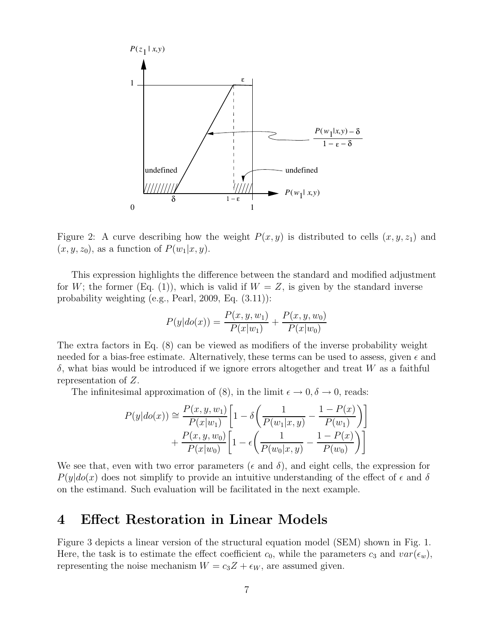

Figure 2: A curve describing how the weight  $P(x, y)$  is distributed to cells  $(x, y, z_1)$  and  $(x, y, z_0)$ , as a function of  $P(w_1|x, y)$ .

This expression highlights the difference between the standard and modified adjustment for W; the former (Eq. (1)), which is valid if  $W = Z$ , is given by the standard inverse probability weighting (e.g., Pearl, 2009, Eq. (3.11)):

$$
P(y|do(x)) = \frac{P(x, y, w_1)}{P(x|w_1)} + \frac{P(x, y, w_0)}{P(x|w_0)}
$$

The extra factors in Eq. (8) can be viewed as modifiers of the inverse probability weight needed for a bias-free estimate. Alternatively, these terms can be used to assess, given  $\epsilon$  and  $\delta$ , what bias would be introduced if we ignore errors altogether and treat W as a faithful representation of Z.

The infinitesimal approximation of (8), in the limit  $\epsilon \to 0, \delta \to 0$ , reads:

$$
P(y|do(x)) \approx \frac{P(x, y, w_1)}{P(x|w_1)} \left[ 1 - \delta \left( \frac{1}{P(w_1|x, y)} - \frac{1 - P(x)}{P(w_1)} \right) \right] + \frac{P(x, y, w_0)}{P(x|w_0)} \left[ 1 - \epsilon \left( \frac{1}{P(w_0|x, y)} - \frac{1 - P(x)}{P(w_0)} \right) \right]
$$

We see that, even with two error parameters ( $\epsilon$  and  $\delta$ ), and eight cells, the expression for  $P(y|do(x))$  does not simplify to provide an intuitive understanding of the effect of  $\epsilon$  and  $\delta$ on the estimand. Such evaluation will be facilitated in the next example.

#### **4 Effect Restoration in Linear Models**

Figure 3 depicts a linear version of the structural equation model (SEM) shown in Fig. 1. Here, the task is to estimate the effect coefficient  $c_0$ , while the parameters  $c_3$  and  $var(\epsilon_w)$ , representing the noise mechanism  $W = c_3 Z + \epsilon_W$ , are assumed given.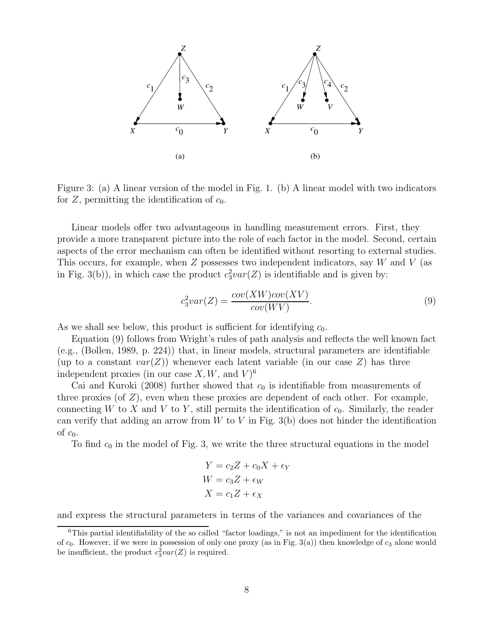

Figure 3: (a) A linear version of the model in Fig. 1. (b) A linear model with two indicators for  $Z$ , permitting the identification of  $c_0$ .

Linear models offer two advantageous in handling measurement errors. First, they provide a more transparent picture into the role of each factor in the model. Second, certain aspects of the error mechanism can often be identified without resorting to external studies. This occurs, for example, when  $Z$  possesses two independent indicators, say  $W$  and  $V$  (as in Fig. 3(b)), in which case the product  $c_3^2var(Z)$  is identifiable and is given by:

$$
c_3^2var(Z) = \frac{cov(XW)cov(XV)}{cov(WV)}.
$$
\n(9)

As we shall see below, this product is sufficient for identifying  $c_0$ .

Equation (9) follows from Wright's rules of path analysis and reflects the well known fact (e.g., (Bollen, 1989, p. 224)) that, in linear models, structural parameters are identifiable (up to a constant  $var(Z)$ ) whenever each latent variable (in our case Z) has three independent proxies (in our case X, W, and  $V$ )<sup>6</sup>

Cai and Kuroki (2008) further showed that  $c_0$  is identifiable from measurements of three proxies (of  $Z$ ), even when these proxies are dependent of each other. For example, connecting W to X and V to Y, still permits the identification of  $c_0$ . Similarly, the reader can verify that adding an arrow from  $W$  to  $V$  in Fig. 3(b) does not hinder the identification of  $c_0$ .

To find  $c_0$  in the model of Fig. 3, we write the three structural equations in the model

$$
Y = c_2 Z + c_0 X + \epsilon_Y
$$
  
 
$$
W = c_3 Z + \epsilon_W
$$
  
 
$$
X = c_1 Z + \epsilon_X
$$

and express the structural parameters in terms of the variances and covariances of the

<sup>6</sup>This partial identifiability of the so called "factor loadings," is not an impediment for the identification of  $c_0$ . However, if we were in possession of only one proxy (as in Fig. 3(a)) then knowledge of  $c_3$  alone would be insufficient, the product  $c_3^2 var(Z)$  is required.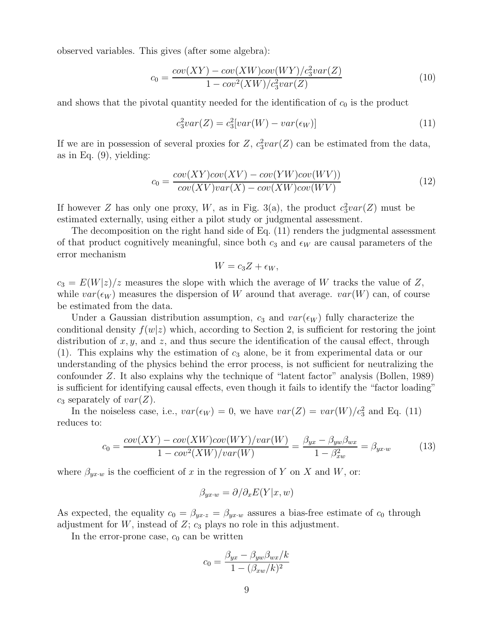observed variables. This gives (after some algebra):

$$
c_0 = \frac{cov(XY) - cov(XW)cov(WY)/c_3^2var(Z)}{1 - cov^2(XW)/c_3^2var(Z)}
$$
\n
$$
(10)
$$

and shows that the pivotal quantity needed for the identification of  $c_0$  is the product

$$
c_3^2var(Z) = c_3^2[var(W) - var(\epsilon_W)]
$$
\n(11)

If we are in possession of several proxies for  $Z$ ,  $c_3^2var(Z)$  can be estimated from the data, as in Eq.  $(9)$ , yielding:

$$
c_0 = \frac{cov(XY)cov(XV) - cov(YW)cov(WV))}{cov(XV)var(X) - cov(XW)cov(WV)}
$$
\n(12)

If however Z has only one proxy, W, as in Fig. 3(a), the product  $c_3^2var(Z)$  must be estimated externally, using either a pilot study or judgmental assessment.

The decomposition on the right hand side of Eq. (11) renders the judgmental assessment of that product cognitively meaningful, since both  $c_3$  and  $\epsilon_W$  are causal parameters of the error mechanism

$$
W = c_3 Z + \epsilon_W,
$$

 $c_3 = E(W|z)/z$  measures the slope with which the average of W tracks the value of Z, while  $var(\epsilon_W)$  measures the dispersion of W around that average.  $var(W)$  can, of course be estimated from the data.

Under a Gaussian distribution assumption,  $c_3$  and  $var(\epsilon_W)$  fully characterize the conditional density  $f(w|z)$  which, according to Section 2, is sufficient for restoring the joint distribution of  $x, y$ , and  $z$ , and thus secure the identification of the causal effect, through (1). This explains why the estimation of  $c_3$  alone, be it from experimental data or our understanding of the physics behind the error process, is not sufficient for neutralizing the confounder Z. It also explains why the technique of "latent factor" analysis (Bollen, 1989) is sufficient for identifying causal effects, even though it fails to identify the "factor loading"  $c_3$  separately of  $var(Z)$ .

In the noiseless case, i.e.,  $var(\epsilon_W) = 0$ , we have  $var(Z) = var(W)/c_3^2$  and Eq. (11) reduces to:

$$
c_0 = \frac{cov(XY) - cov(XW)cov(WY)/var(W)}{1 - cov^2(XW)/var(W)} = \frac{\beta_{yx} - \beta_{yw}\beta_{wx}}{1 - \beta_{xw}^2} = \beta_{yx \cdot w}
$$
(13)

where  $\beta_{yx\cdot w}$  is the coefficient of x in the regression of Y on X and W, or:

$$
\beta_{yx\cdot w} = \partial/\partial_x E(Y|x, w)
$$

As expected, the equality  $c_0 = \beta_{yx \cdot x} = \beta_{yx \cdot w}$  assures a bias-free estimate of  $c_0$  through adjustment for  $W$ , instead of  $Z$ ;  $c_3$  plays no role in this adjustment.

In the error-prone case,  $c_0$  can be written

$$
c_0 = \frac{\beta_{yx} - \beta_{yw}\beta_{wx}/k}{1 - (\beta_{xw}/k)^2}
$$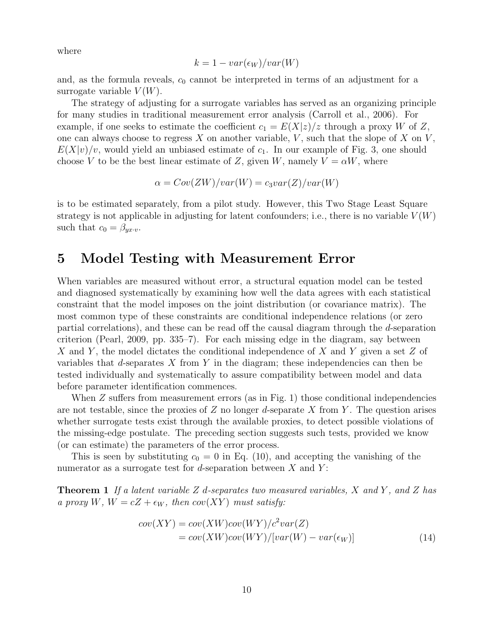where

$$
k = 1 - var(\epsilon_W)/var(W)
$$

and, as the formula reveals,  $c_0$  cannot be interpreted in terms of an adjustment for a surrogate variable  $V(W)$ .

The strategy of adjusting for a surrogate variables has served as an organizing principle for many studies in traditional measurement error analysis (Carroll et al., 2006). For example, if one seeks to estimate the coefficient  $c_1 = E(X|z)/z$  through a proxy W of Z, one can always choose to regress X on another variable,  $V$ , such that the slope of X on  $V$ ,  $E(X|v)/v$ , would yield an unbiased estimate of  $c_1$ . In our example of Fig. 3, one should choose V to be the best linear estimate of Z, given W, namely  $V = \alpha W$ , where

$$
\alpha = Cov(ZW)/var(W) = c_3var(Z)/var(W)
$$

is to be estimated separately, from a pilot study. However, this Two Stage Least Square strategy is not applicable in adjusting for latent confounders; i.e., there is no variable  $V(W)$ such that  $c_0 = \beta_{yx \cdot v}$ .

#### **5 Model Testing with Measurement Error**

When variables are measured without error, a structural equation model can be tested and diagnosed systematically by examining how well the data agrees with each statistical constraint that the model imposes on the joint distribution (or covariance matrix). The most common type of these constraints are conditional independence relations (or zero partial correlations), and these can be read off the causal diagram through the d-separation criterion (Pearl, 2009, pp. 335–7). For each missing edge in the diagram, say between X and Y, the model dictates the conditional independence of X and Y given a set  $Z$  of variables that d-separates X from Y in the diagram; these independencies can then be tested individually and systematically to assure compatibility between model and data before parameter identification commences.

When Z suffers from measurement errors (as in Fig. 1) those conditional independencies are not testable, since the proxies of Z no longer d-separate X from Y. The question arises whether surrogate tests exist through the available proxies, to detect possible violations of the missing-edge postulate. The preceding section suggests such tests, provided we know (or can estimate) the parameters of the error process.

This is seen by substituting  $c_0 = 0$  in Eq. (10), and accepting the vanishing of the numerator as a surrogate test for d-separation between  $X$  and  $Y$ :

**Theorem 1** If a latent variable Z d-separates two measured variables, X and Y , and Z has a proxy W,  $W = cZ + \epsilon_W$ , then  $cov(XY)$  must satisfy:

$$
cov(XY) = cov(XW)cov(WY)/c2var(Z)
$$
  
=  $cov(XW)cov(WY)/[var(W) - var(\epsilon_W)]$  (14)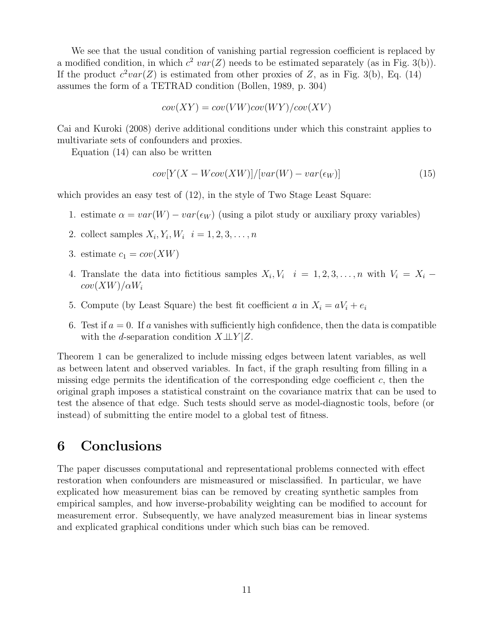We see that the usual condition of vanishing partial regression coefficient is replaced by a modified condition, in which  $c^2 \text{ var}(Z)$  needs to be estimated separately (as in Fig. 3(b)). If the product  $c^2var(Z)$  is estimated from other proxies of Z, as in Fig. 3(b), Eq. (14) assumes the form of a TETRAD condition (Bollen, 1989, p. 304)

$$
cov(XY) = cov(VW)cov(WY)/cov(XV)
$$

Cai and Kuroki (2008) derive additional conditions under which this constraint applies to multivariate sets of confounders and proxies.

Equation (14) can also be written

$$
cov[Y(X - Wcov(XW)]/[var(W) - var(\epsilon_W)]
$$
\n(15)

which provides an easy test of (12), in the style of Two Stage Least Square:

- 1. estimate  $\alpha = var(W) var(\epsilon_W)$  (using a pilot study or auxiliary proxy variables)
- 2. collect samples  $X_i, Y_i, W_i$   $i = 1, 2, 3, ..., n$
- 3. estimate  $c_1 = cov(XW)$
- 4. Translate the data into fictitious samples  $X_i, V_i$   $i = 1, 2, 3, \ldots, n$  with  $V_i = X_i$  $cov(XW)/\alpha W_i$
- 5. Compute (by Least Square) the best fit coefficient a in  $X_i = aV_i + e_i$
- 6. Test if  $a = 0$ . If a vanishes with sufficiently high confidence, then the data is compatible with the d-separation condition  $X \perp \!\!\!\perp Y | Z$ .

Theorem 1 can be generalized to include missing edges between latent variables, as well as between latent and observed variables. In fact, if the graph resulting from filling in a missing edge permits the identification of the corresponding edge coefficient  $c$ , then the original graph imposes a statistical constraint on the covariance matrix that can be used to test the absence of that edge. Such tests should serve as model-diagnostic tools, before (or instead) of submitting the entire model to a global test of fitness.

#### **6 Conclusions**

The paper discusses computational and representational problems connected with effect restoration when confounders are mismeasured or misclassified. In particular, we have explicated how measurement bias can be removed by creating synthetic samples from empirical samples, and how inverse-probability weighting can be modified to account for measurement error. Subsequently, we have analyzed measurement bias in linear systems and explicated graphical conditions under which such bias can be removed.